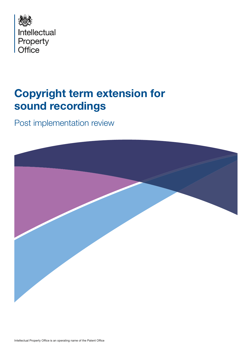

# Copyright term extension for sound recordings

Post implementation review

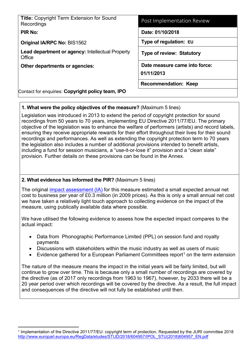| <b>Title: Copyright Term Extension for Sound</b><br>Recordings    | Post Implementation Review                  |
|-------------------------------------------------------------------|---------------------------------------------|
| <b>PIR No:</b>                                                    | Date: 01/10/2018                            |
| <b>Original IA/RPC No: BIS1562</b>                                | Type of regulation: EU                      |
| <b>Lead department or agency: Intellectual Property</b><br>Office | <b>Type of review: Statutory</b>            |
| Other departments or agencies:                                    | Date measure came into force:<br>01/11/2013 |
|                                                                   | <b>Recommendation: Keep</b>                 |
| Contact for enquiries: Copyright policy team, IPO                 |                                             |

# **1. What were the policy objectives of the measure?** (Maximum 5 lines)

Legislation was introduced in 2013 to extend the period of copyright protection for sound recordings from 50 years to 70 years, implementing EU Directive 2011/77/EU. The primary objective of the legislation was to enhance the welfare of performers (artists) and record labels, ensuring they receive appropriate rewards for their effort throughout their lives for their sound recordings and performances. As well as extending the copyright protection term to 70 years the legislation also includes a number of additional provisions intended to benefit artists, including a fund for session musicians, a "use-it-or-lose it" provision and a "clean slate" provision. Further details on these provisions can be found in the Annex.

# **2. What evidence has informed the PIR?** (Maximum 5 lines)

The original [impact assessment \(IA\)](http://www.legislation.gov.uk/ukia/2013/252/pdfs/ukia_20130252_en.pdf) for this measure estimated a small expected annual net cost to business per year of £0.3 million (in 2009 prices). As this is only a small annual net cost we have taken a relatively light touch approach to collecting evidence on the impact of the measure, using publically available data where possible.

We have utilised the following evidence to assess how the expected impact compares to the actual impact:

- Data from Phonographic Performance Limited (PPL) on session fund and royalty payments
- Discussions with stakeholders within the music industry as well as users of music
- Evidence gathered for a European Parliament Committees report<sup>[1](#page-1-0)</sup> on the term extension

The nature of the measure means the impact in the initial years will be fairly limited, but will continue to grow over time. This is because only a small number of recordings are covered by the directive (as of 2017 only recordings from 1963 to 1967), however, by 2033 there will be a 20 year period over which recordings will be covered by the directive. As a result, the full impact and consequences of the directive will not fully be established until then.

<span id="page-1-0"></span> <sup>1</sup> Implementation of the Directive 2011/77/EU: copyright term of protection, Requested by the JURI committee 2018 [http://www.europarl.europa.eu/RegData/etudes/STUD/2018/604957/IPOL\\_STU\(2018\)604957\\_EN.pdf](http://www.europarl.europa.eu/RegData/etudes/STUD/2018/604957/IPOL_STU(2018)604957_EN.pdf)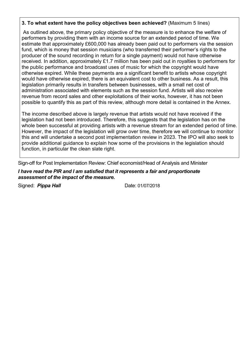### **3. To what extent have the policy objectives been achieved?** (Maximum 5 lines)

As outlined above, the primary policy objective of the measure is to enhance the welfare of performers by providing them with an income source for an extended period of time. We estimate that approximately £600,000 has already been paid out to performers via the session fund, which is money that session musicians (who transferred their performer's rights to the producer of the sound recording in return for a single payment) would not have otherwise received. In addition, approximately £1.7 million has been paid out in royalties to performers for the public performance and broadcast uses of music for which the copyright would have otherwise expired. While these payments are a significant benefit to artists whose copyright would have otherwise expired, there is an equivalent cost to other business. As a result, this legislation primarily results in transfers between businesses, with a small net cost of administration associated with elements such as the session fund. Artists will also receive revenue from record sales and other exploitations of their works, however, it has not been possible to quantify this as part of this review, although more detail is contained in the Annex.

The income described above is largely revenue that artists would not have received if the legislation had not been introduced. Therefore, this suggests that the legislation has on the whole been successful at providing artists with a revenue stream for an extended period of time. However, the impact of the legislation will grow over time, therefore we will continue to monitor this and will undertake a second post implementation review in 2023. The IPO will also seek to provide additional guidance to explain how some of the provisions in the legislation should function, in particular the clean slate right.

Sign-off for Post Implementation Review: Chief economist/Head of Analysis and Minister

#### *I have read the PIR and I am satisfied that it represents a fair and proportionate assessment of the impact of the measure.*

Signed: **Pippa Hall** Date: 01/07/2018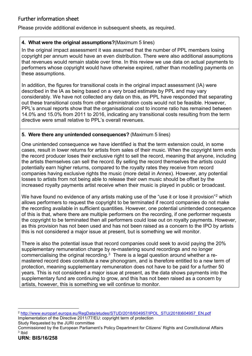# Further information sheet

Please provide additional evidence in subsequent sheets, as required.

# **4. What were the original assumptions?**(Maximum 5 lines)

In the original impact assessment it was assumed that the number of PPL members losing copyright per annum would have an even distribution. There were also additional assumptions that revenues would remain stable over time. In this review we use data on actual payments to performers whose copyright would have otherwise expired, rather than modelling payments on these assumptions.

In addition, the figures for transitional costs in the original impact assessment (IA) were described in the IA as being based on a very broad estimate by PPL and may vary considerably. We have not collected any data on this, as PPL have responded that separating out these transitional costs from other administration costs would not be feasible. However, PPL's annual reports show that the organisational cost to income ratio has remained between 14.0% and 15.0% from 2011 to 2016, indicating any transitional costs resulting from the term directive were small relative to PPL's overall revenues.

# **5. Were there any unintended consequences?** (Maximum 5 lines)

One unintended consequence we have identified is that the term extension could, in some cases, result in lower returns for artists from sales of their music. When the copyright term ends the record producer loses their exclusive right to sell the record, meaning that anyone, including the artists themselves can sell the record. By selling the record themselves the artists could potentially earn higher returns, compared to the royalty rates they receive from record companies having exclusive rights the music (more detail in Annex). However, any potential losses to artists from not being able to release their own music should be offset by the increased royalty payments artist receive when their music is played in public or broadcast.

We have found no evidence of any artists making use of the "use it or lose it provision"<sup>[2](#page-3-0)</sup> which allows performers to request the copyright to be terminated if record companies do not make the recording available in sufficient quantities. However, one potential unintended consequence of this is that, where there are multiple performers on the recording, if one performer requests the copyright to be terminated then all performers could lose out on royalty payments. However, as this provision has not been used and has not been raised as a concern to the IPO by artists this is not considered a major issue at present, but is something we will monitor.

There is also the potential issue that record companies could seek to avoid paying the 20% supplementary remuneration charge by re-mastering sound recordings and no longer commercialising the original recording. $3$  There is a legal question around whether a remastered record does constitute a new phonogram, and is therefore entitled to a new term of protection, meaning supplementary remuneration does not have to be paid for a further 50 years. This is not considered a major issue at present, as the data shows payments into the supplementary fund are continuing to grow, and this has not been raised as a concern by artists, however, this is something we will continue to monitor.

Study Requested by the JURI committee

<span id="page-3-0"></span> <sup>2</sup> [http://www.europarl.europa.eu/RegData/etudes/STUD/2018/604957/IPOL\\_STU\(2018\)604957\\_EN.pdf](http://www.europarl.europa.eu/RegData/etudes/STUD/2018/604957/IPOL_STU(2018)604957_EN.pdf)  Implementation of the Directive 2011/77/EU: copyright term of protection

<span id="page-3-1"></span>Commissioned by the European Parliament's Policy Department for Citizens' Rights and Constitutional Affairs <sup>3</sup> Ibid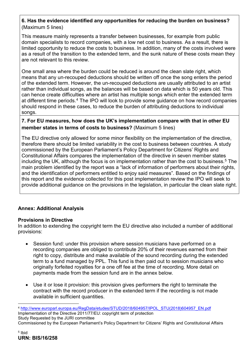# **6. Has the evidence identified any opportunities for reducing the burden on business?**  (Maximum 5 lines)

This measure mainly represents a transfer between businesses, for example from public domain specialists to record companies, with a low net cost to business. As a result, there is limited opportunity to reduce the costs to business. In addition, many of the costs involved were as a result of the transition to the extended term, and the sunk nature of these costs mean they are not relevant to this review.

One small area where the burden could be reduced is around the clean slate right, which means that any un-recouped deductions should be written off once the song enters the period of the extended term. However, the un-recouped deductions are usually attributed to an artist rather than individual songs, as the balances will be based on data which is 50 years old. This can hence create difficulties where an artist has multiple songs which enter the extended term at different time periods.<sup>[4](#page-4-0)</sup> The IPO will look to provide some guidance on how record companies should respond in these cases, to reduce the burden of attributing deductions to individual songs.

### **7. For EU measures, how does the UK's implementation compare with that in other EU member states in terms of costs to business?** (Maximum 5 lines)

The EU directive only allowed for some minor flexibility on the implementation of the directive, therefore there should be limited variability in the cost to business between countries. A study commissioned by the European Parliament's Policy Department for Citizens' Rights and Constitutional Affairs compares the implementation of the directive in seven member states including the UK, although the focus is on implementation rather than the cost to business. [5](#page-4-1) The main problem identified by the report was a "lack of information of performers about their rights, and the identification of performers entitled to enjoy said measures". Based on the findings of this report and the evidence collected for this post implementation review the IPO will seek to provide additional guidance on the provisions in the legislation, in particular the clean slate right.

### **Annex: Additional Analysis**

#### **Provisions in Directive**

In addition to extending the copyright term the EU directive also included a number of additional provisions:

- Session fund: under this provision where session musicians have performed on a recording companies are obliged to contribute 20% of their revenues earned from their right to copy, distribute and make available of the sound recording during the extended term to a fund managed by PPL. This fund is then paid out to session musicians who originally forfeited royalties for a one off fee at the time of recording. More detail on payments made from the session fund are in the annex below.
- Use it or lose it provision: this provision gives performers the right to terminate the contract with the record producer in the extended term if the recording is not made available in sufficient quantities.

<span id="page-4-0"></span> <sup>4</sup> [http://www.europarl.europa.eu/RegData/etudes/STUD/2018/604957/IPOL\\_STU\(2018\)604957\\_EN.pdf](http://www.europarl.europa.eu/RegData/etudes/STUD/2018/604957/IPOL_STU(2018)604957_EN.pdf)  Implementation of the Directive 2011/77/EU: copyright term of protection Study Requested by the JURI committee

<span id="page-4-1"></span>Commissioned by the European Parliament's Policy Department for Citizens' Rights and Constitutional Affairs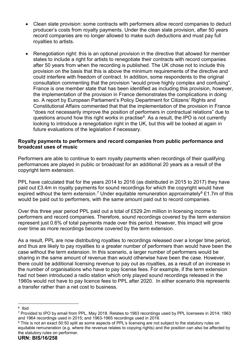- Clean slate provision: some contracts with performers allow record companies to deduct producer's costs from royalty payments. Under the clean slate provision, after 50 years record companies are no longer allowed to make such deductions and must pay full royalties to artists.
- Renegotiation right: this is an optional provision in the directive that allowed for member states to include a right for artists to renegotiate their contracts with record companies after 50 years from when the recording is published. The UK chose not to include this provision on the basis that this is above the minimum requirements of the directive and could interfere with freedom of contract. In addition, some respondents to the original consultation commenting that the provision "would prove highly complex and confusing". France is one member state that has been identified as including this provision, however, the implementation of the provision in France demonstrates the complications in doing so. A report by European Parliament's Policy Department for Citizens' Rights and Constitutional Affairs commented that that the implementation of the provision in France "does not necessarily improve the position of performers in contractual relations" due to questions around how this right works in practise<sup>[6](#page-5-0)</sup>. As a result, the IPO is not currently looking to introduce a renegotiation right in the UK, but this will be looked at again in future evaluations of the legislation if necessary.

#### **Royalty payments to performers and record companies from public performance and broadcast uses of music**

Performers are able to continue to earn royalty payments when recordings of their qualifying performances are played in public or broadcast for an additional 20 years as a result of the copyright term extension.

PPL have calculated that for the years 2014 to 2016 (as distributed in 2015 to 2017) they have paid out £3.4m in royalty payments for sound recordings for which the copyright would have expired without the term extension.<sup>[7](#page-5-1)</sup> Under equitable remuneration approximately<sup>[8](#page-5-2)</sup> £1.7m of this would be paid out to performers, with the same amount paid out to record companies.

Over this three year period PPL paid out a total of £529.2m million in licensing income to performers and record companies. Therefore, sound recordings covered by the term extension represent just 0.6% of total payments made over this period. However, this impact will grow over time as more recordings become covered by the term extension.

As a result, PPL are now distributing royalties to recordings released over a longer time period, and thus are likely to pay royalties to a greater number of performers than would have been the case without the term extension. In this scenario, a larger number of performers would be sharing in the same amount of revenue than would otherwise have been the case. However, there could be additional licensing revenue to pay out as royalties, as a result of an increase in the number of organisations who have to pay license fees. For example, if the term extension had not been introduced a radio station which only played sound recordings released in the 1960s would not have to pay licence fees to PPL after 2020. In either scenario this represents a transfer rather than a net cost to business.

<span id="page-5-0"></span> <sup>6</sup> Ibid

<span id="page-5-1"></span><sup>7</sup> Provided to IPO by email from PPL, May 2018. Relates to 1963 recordings used by PPL licensees in 2014; 1963 and 1964 recordings used in 2015; and 1963-1965 recordings used in 2016.

<span id="page-5-2"></span><sup>8</sup> This is not an exact 50:50 split as some aspects of PPL's licensing are not subject to the statutory rules on equitable remuneration (e.g. where the revenue relates to copying rights) and the position can also be affected by the statutory rules on performer.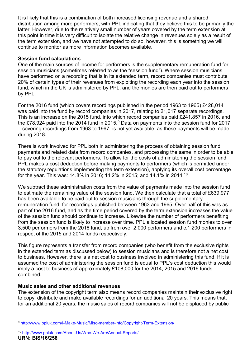It is likely that this is a combination of both increased licensing revenue and a shared distribution among more performers, with PPL indicating that they believe this to be primarily the latter. However, due to the relatively small number of years covered by the term extension at this point in time it is very difficult to isolate the relative change in revenues solely as a result of the term extension, and we have not attempted to do so, however, this is something we will continue to monitor as more information becomes available.

### **Session fund calculations**

One of the main sources of income for performers is the supplementary remuneration fund for session musicians (sometimes referred to as the "session fund"). Where session musicians have performed on a recording that is in its extended term, record companies must contribute 20% of certain types of their revenues from exploiting the recording each year into the session fund, which in the UK is administered by PPL, and the monies are then paid out to performers by PPL.

For the 2016 fund (which covers recordings published in the period 1963 to 1965) £428,014 was paid into the fund by record companies in 2017, relating to 21,017 separate recordings. This is an increase on the 2015 fund, into which record companies paid £241,857 in 2016, and the £78,[9](#page-6-0)24 paid into the 2014 fund in 2015.<sup>9</sup> Data on payments into the session fund for 2017 – covering recordings from 1963 to 1967- is not yet available, as these payments will be made during 2018.

There is work involved for PPL both in administering the process of obtaining session fund payments and related data from record companies, and processing the same in order to be able to pay out to the relevant performers. To allow for the costs of administering the session fund PPL makes a cost deduction before making payments to performers (which is permitted under the statutory regulations implementing the term extension), applying its overall cost percentage for the year. This was: 14.8% in 2016; 14.2% in 2015; and 14.1% in 2014.[10](#page-6-1)

We subtract these administration costs from the value of payments made into the session fund to estimate the remaining value of the session fund. We then calculate that a total of £639,977 has been available to be paid out to session musicians through the supplementary remuneration fund, for recordings published between 1963 and 1965. Over half of this was as part of the 2016 fund, and as the time period covered by the term extension increases the value of the session fund should continue to increase. Likewise the number of performers benefiting from the session fund is likely to increase over time. PPL allocated session fund monies to over 3,500 performers from the 2016 fund, up from over 2,000 performers and c.1,200 performers in respect of the 2015 and 2014 funds respectively.

This figure represents a transfer from record companies (who benefit from the exclusive rights in the extended term as discussed below) to session musicians and is therefore not a net cost to business. However, there is a net cost to business involved in administering this fund. If it is assumed the cost of administering the session fund is equal to PPL's cost deduction this would imply a cost to business of approximately £108,000 for the 2014, 2015 and 2016 funds combined.

### **Music sales and other additional revenues**

The extension of the copyright term also means record companies maintain their exclusive right to copy, distribute and make available recordings for an additional 20 years. This means that, for an additional 20 years, the music sales of record companies will not be displaced by public

<span id="page-6-0"></span> <sup>9</sup> <http://www.ppluk.com/I-Make-Music/Misc-member-info/Copyright-Term-Extension/>

<span id="page-6-1"></span>**URN: BIS/16/258** <sup>10</sup> <http://www.ppluk.com/About-Us/Who-We-Are/Annual-Reports/>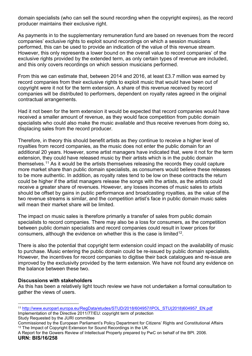domain specialists (who can sell the sound recording when the copyright expires), as the record producer maintains their exclusive right.

As payments in to the supplementary remuneration fund are based on revenues from the record companies' exclusive rights to exploit sound recordings on which a session musicians performed, this can be used to provide an indication of the value of this revenue stream. However, this only represents a lower bound on the overall value to record companies' of the exclusive rights provided by the extended term, as only certain types of revenue are included, and this only covers recordings on which session musicians performed.

From this we can estimate that, between 2014 and 2016, at least £3.7 million was earned by record companies from their exclusive rights to exploit music that would have been out of copyright were it not for the term extension. A share of this revenue received by record companies will be distributed to performers, dependent on royalty rates agreed in the original contractual arrangements.

Had it not been for the term extension it would be expected that record companies would have received a smaller amount of revenue, as they would face competition from public domain specialists who could also make the music available and thus receive revenues from doing so, displacing sales from the record producer.

Therefore, in theory this should benefit artists as they continue to receive a higher level of royalties from record companies, as the music does not enter the public domain for an additional 20 years. However, some artist managers have indicated that, were it not for the term extension, they could have released music by their artists which is in the public domain themselves.[11](#page-7-0) As it would be the artists themselves releasing the records they could capture more market share than public domain specialists, as consumers would believe these releases to be more authentic. In addition, as royalty rates tend to be low on these contracts the return could be higher if the artist managers release the songs with the artists, as the artists could receive a greater share of revenues. However, any losses incomes of music sales to artists should be offset by gains in public performance and broadcasting royalties, as the value of the two revenue streams is similar, and the competition artist's face in public domain music sales will mean their market share will be limited.

The impact on music sales is therefore primarily a transfer of sales from public domain specialists to record companies. There may also be a loss for consumers, as the competition between public domain specialists and record companies could result in lower prices for consumers, although the evidence on whether this is the case is limited<sup>[12](#page-7-1)</sup>.

There is also the potential that copyright term extension could impact on the availability of music to purchase. Music entering the public domain could be re-issued by public domain specialists. However, the incentives for record companies to digitise their back catalogues and re-issue are improved by the exclusivity provided by the term extension. We have not found any evidence on the balance between these two.

### **Discussions with stakeholders**

As this has been a relatively light touch review we have not undertaken a formal consultation to gather the views of users.

<span id="page-7-0"></span> <sup>11</sup> [http://www.europarl.europa.eu/RegData/etudes/STUD/2018/604957/IPOL\\_STU\(2018\)604957\\_EN.pdf](http://www.europarl.europa.eu/RegData/etudes/STUD/2018/604957/IPOL_STU(2018)604957_EN.pdf) Implementation of the Directive 2011/77/EU: copyright term of protection Study Requested by the JURI committee

Commissioned by the European Parliament's Policy Department for Citizens' Rights and Constitutional Affairs <sup>12</sup> The Impact of Copyright Extension for Sound Recordings in the UK

<span id="page-7-1"></span>**URN: BIS/16/258** A Report for the Gowers Review of Intellectual Property prepared by PwC on behalf of the BPI. 2006.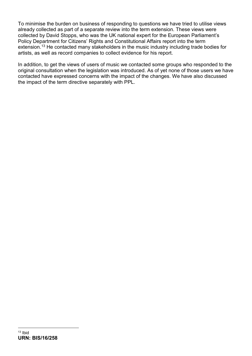To minimise the burden on business of responding to questions we have tried to utilise views already collected as part of a separate review into the term extension. These views were collected by David Stopps, who was the UK national expert for the European Parliament's Policy Department for Citizens' Rights and Constitutional Affairs report into the term extension.<sup>[13](#page-8-0)</sup> He contacted many stakeholders in the music industry including trade bodies for artists, as well as record companies to collect evidence for his report.

<span id="page-8-0"></span>In addition, to get the views of users of music we contacted some groups who responded to the original consultation when the legislation was introduced. As of yet none of those users we have contacted have expressed concerns with the impact of the changes. We have also discussed the impact of the term directive separately with PPL.